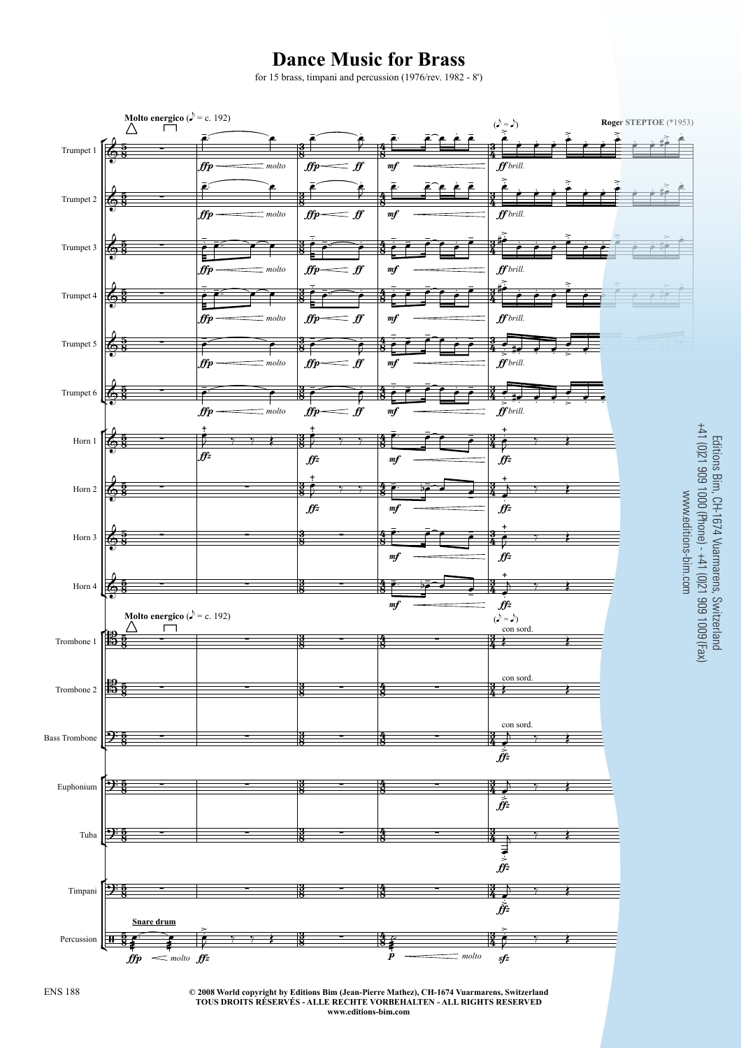## **Dance Music for Brass**

for 15 brass, timpani and percussion (1976/rev. 1982 - 8')



Editions Bim, CH-1674 Vuarmarens, Switzerland

**© 2008 World copyright by Editions Bim (Jean-Pierre Mathez), CH-1674 Vuarmarens, Switzerland** ENS 188 3 **TOUS DROITS RÉSERVÉS - ALLE RECHTE VORBEHALTEN - ALL RIGHTS RESERVED www.editions-bim.com**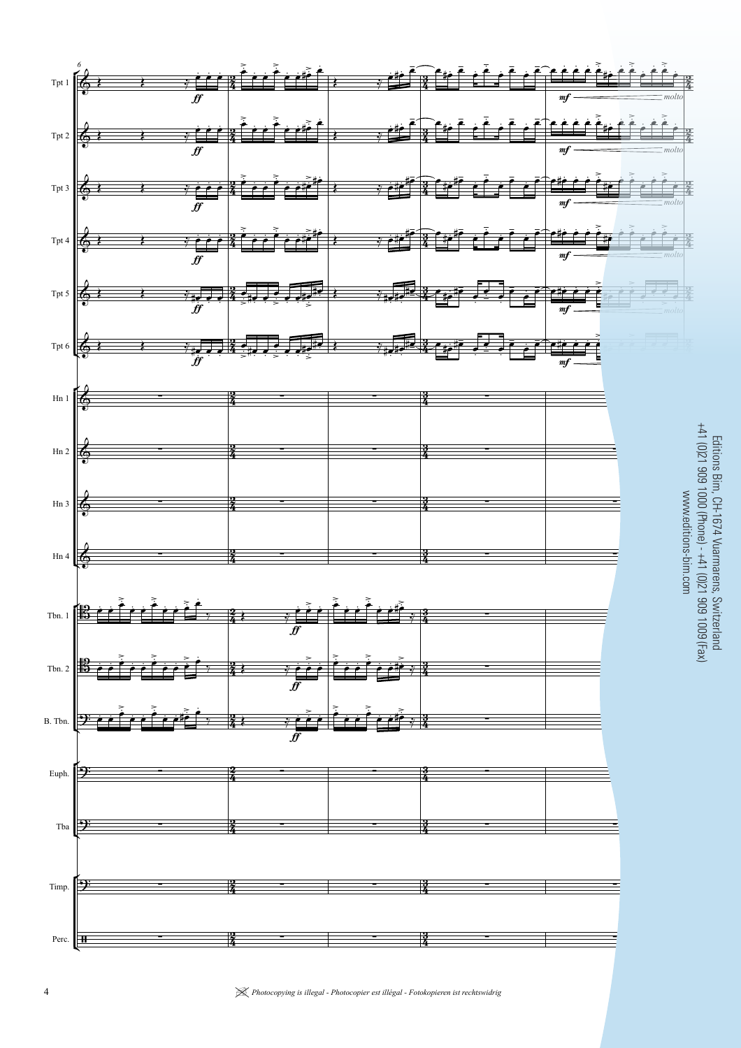

 $\mathcal K$  Photocopying is illegal - Photocopier est illégal - Fotokopieren ist rechtswidrig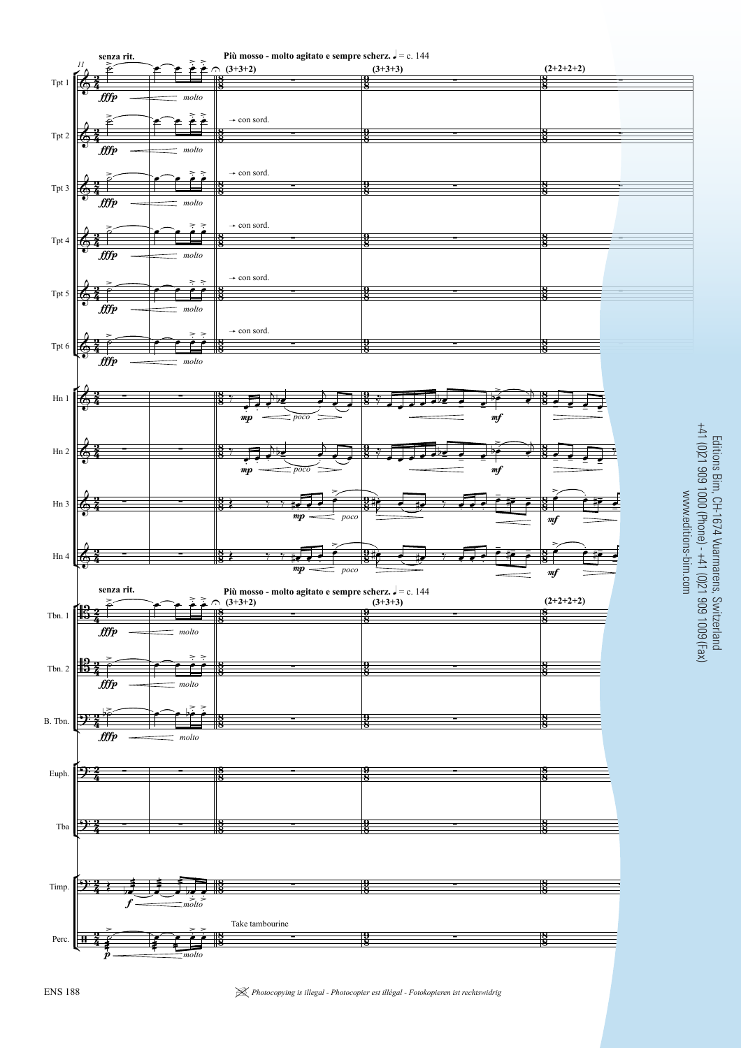

ENS 188 | *Photocopying is illegal - Photocopier est illégal - Fotokopieren ist rechtswidrig* 5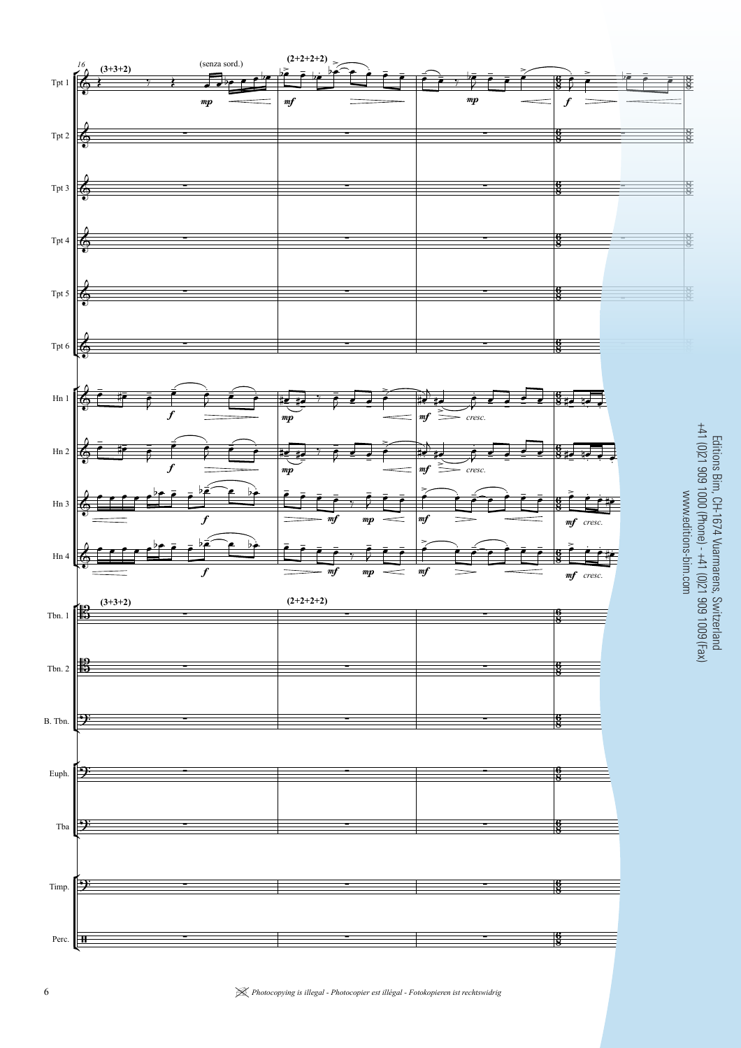

 $\mathcal K$  Photocopying is illegal - Photocopier est illégal - Fotokopieren ist rechtswidrig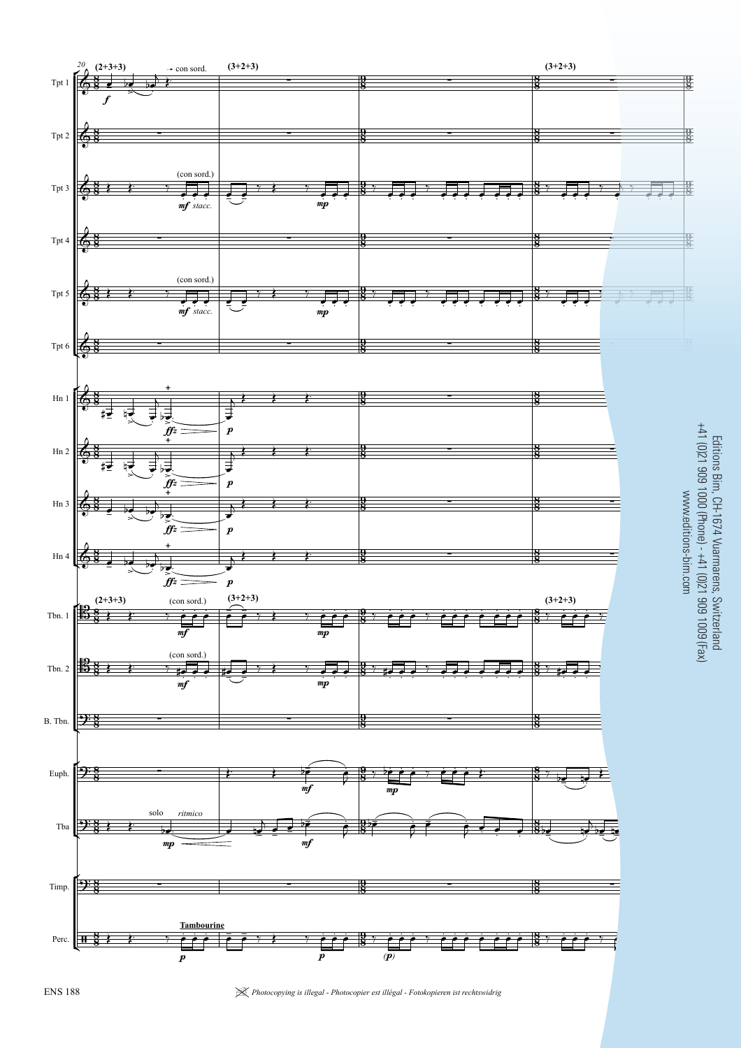

ENS 188 | *Photocopying is illegal - Photocopier est illégal - Fotokopieren ist rechtswidrig* 7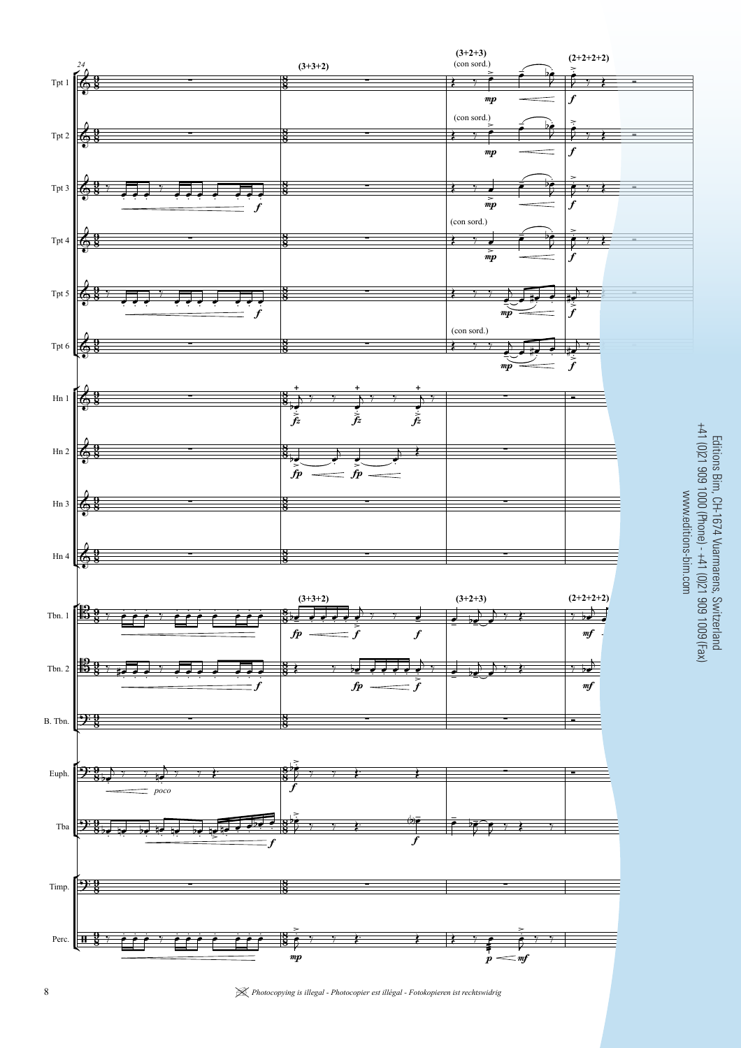

Editions Bim, CH-1674 Vuarmarens, Switzerland<br>+41 (0)21 909 1000 (Phone) - +41 (0)21 909 1009 (Fax) +41 (0)21 909 1000 (Phone) - +41 (0)21 909 1009 (Fax) Editions Bim, CH-1674 Vuarmarens, Switzerland

8 *A Photocopying is illegal - Photocopier est illégal - Fotokopieren ist rechtswidrig*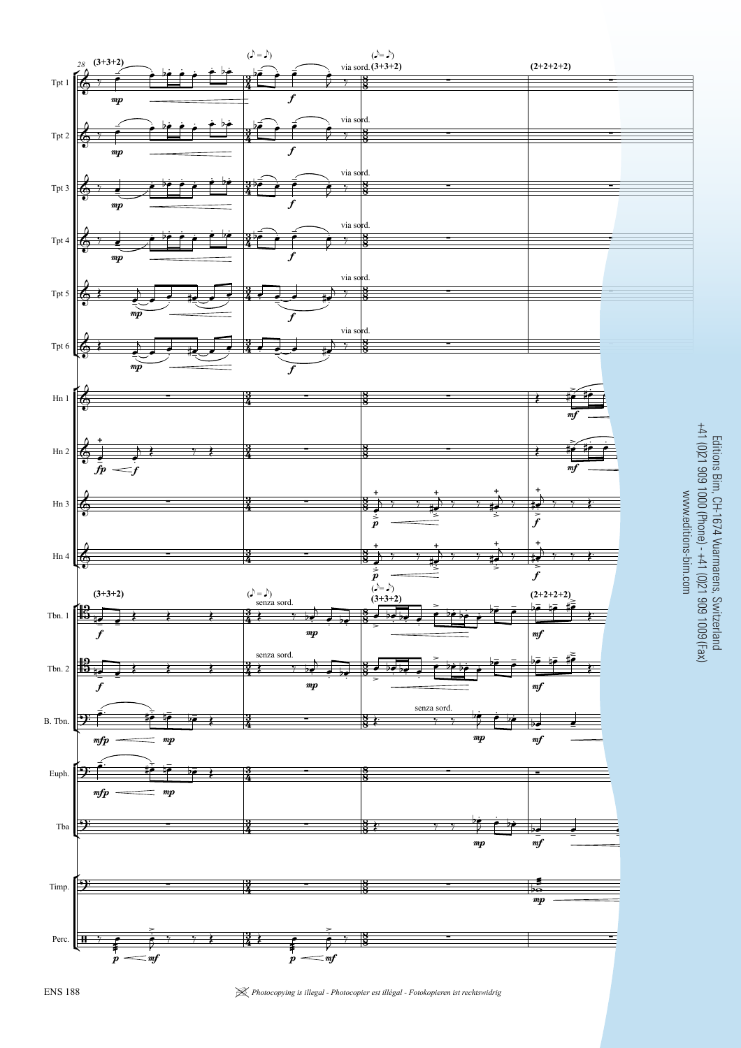

Editions Bim, CH-1674 Vuarmarens, Switzerland<br>+41 (0)21 909 1000 (Phone) - +41 (0)21 909 1009 (Fax) +41 (0)21 909 1000 (Phone) - +41 (0)21 909 1009 (Fax) Editions Bim, CH-1674 Vuarmarens, Switzerland www.editions-bim.com

ENS 188 | *Photocopying is illegal - Photocopier est illégal - Fotokopieren ist rechtswidrig* 9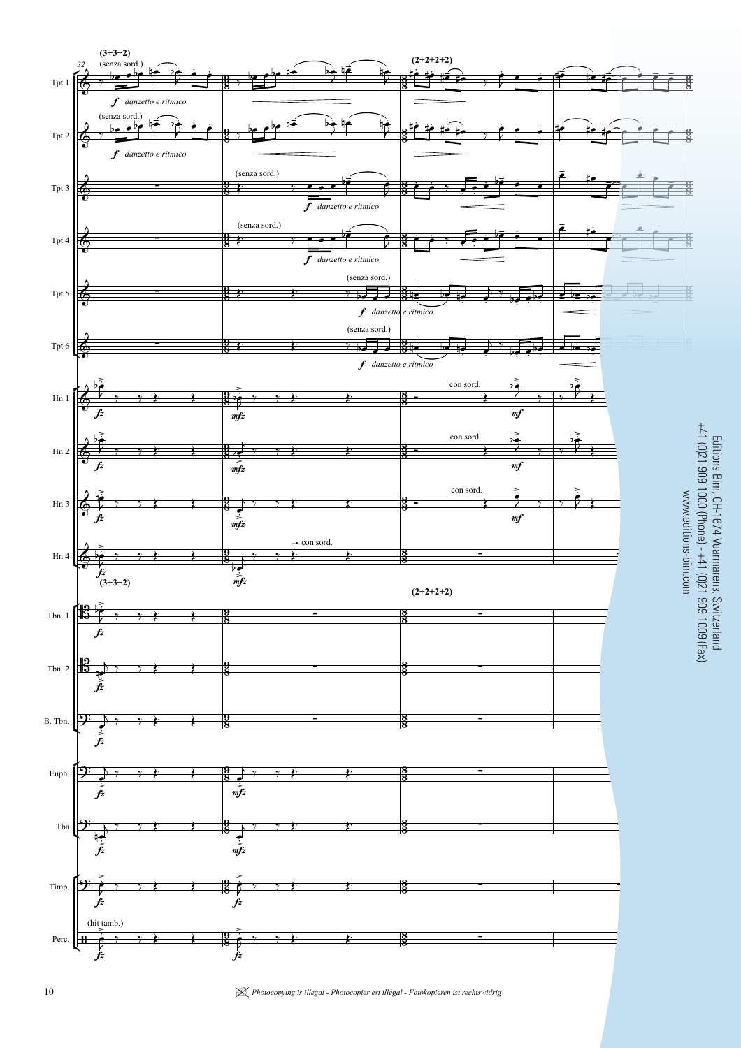

10 *A Photocopying is illegal - Photocopier est illégal - Fotokopieren ist rechtswidrig*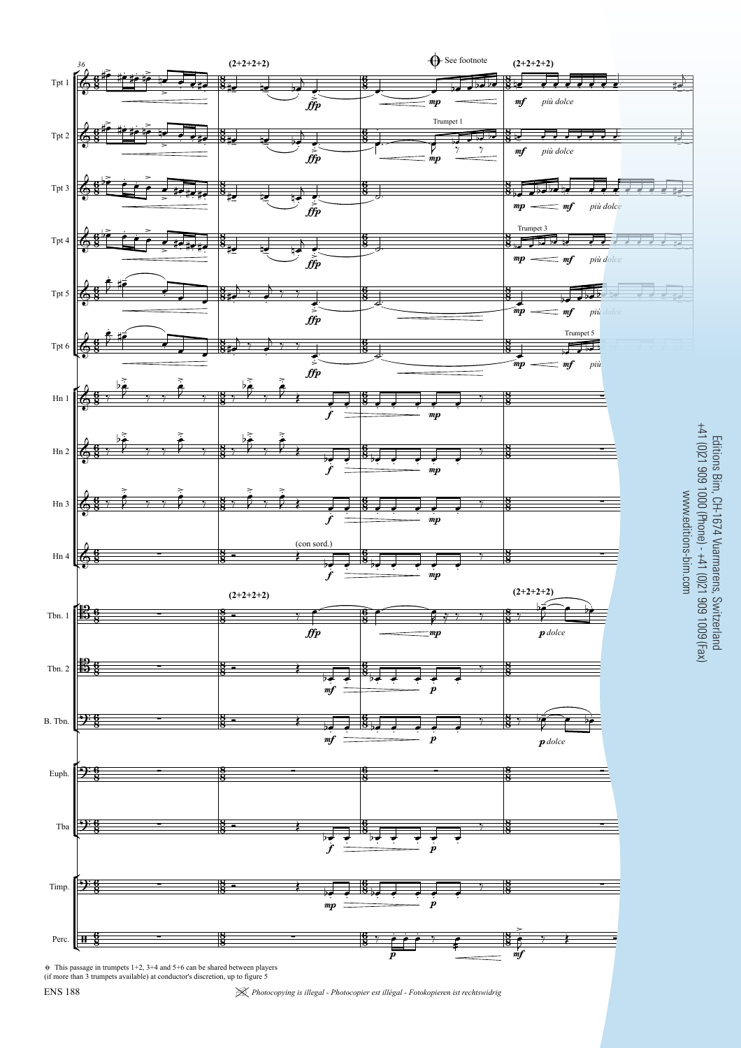

Editions Bim, CH-1674 Vuarmarens, Switzerland

ENS 188 | *Photocopying is illegal - Photocopier est illégal - Fotokopieren ist rechtswidrig* 11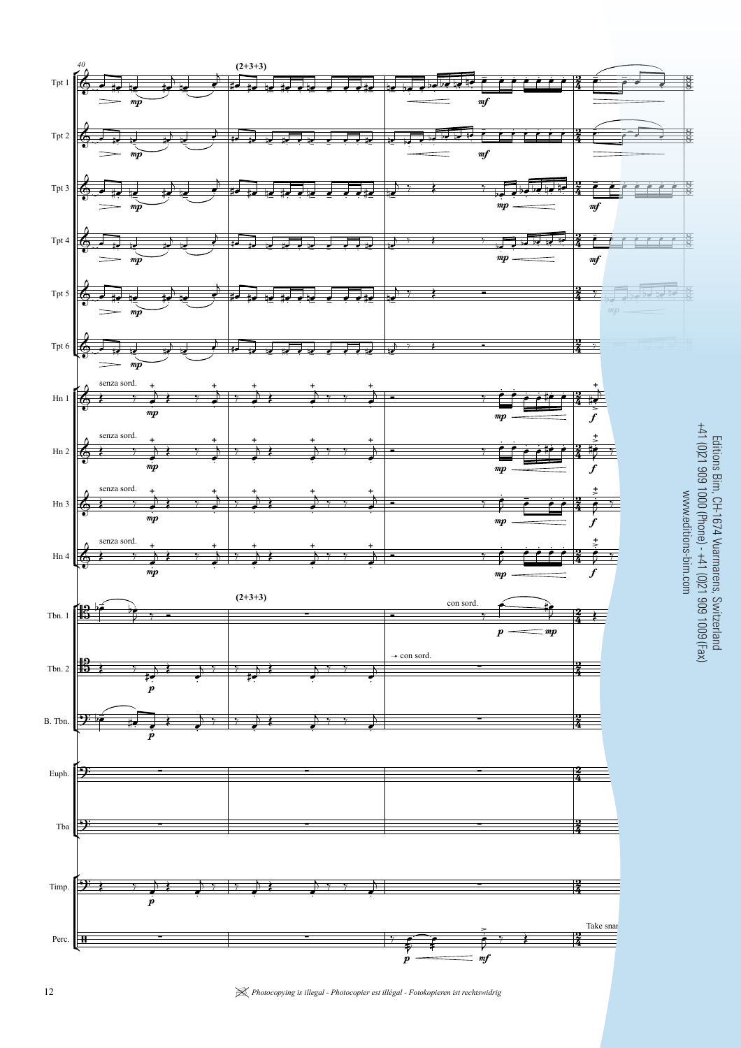

<sup>12</sup> *M Photocopying is illegal - Photocopier est illégal - Fotokopieren ist rechtswidrig*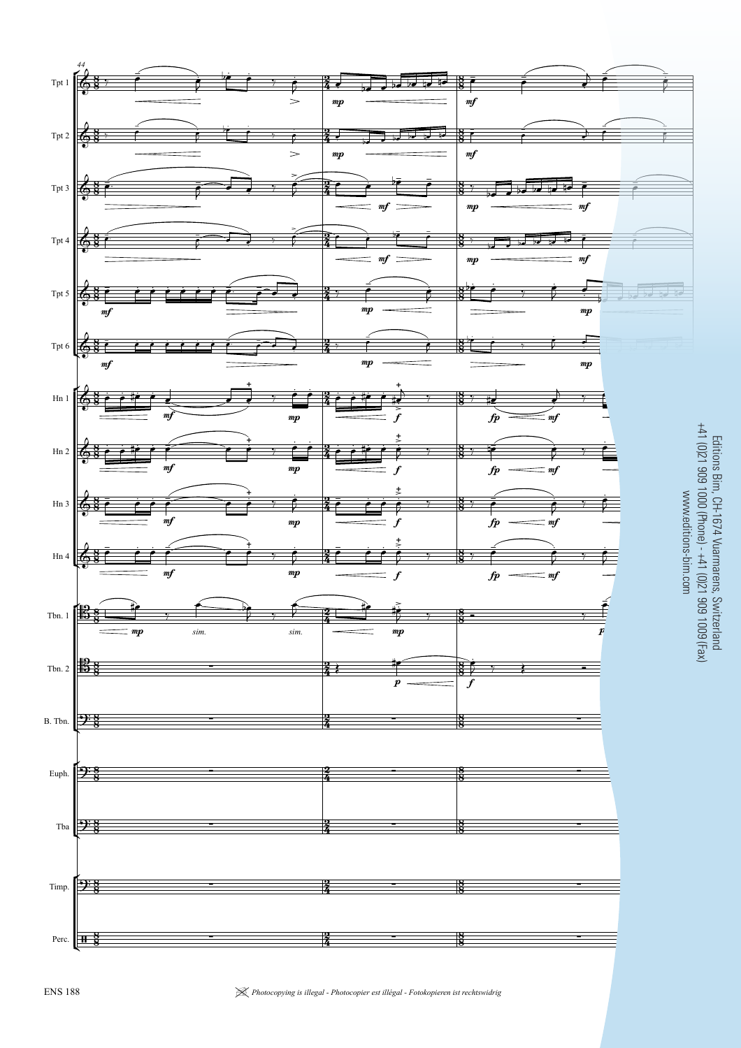

ENS 188 | *Photocopying is illegal - Photocopier est illégal - Fotokopieren ist rechtswidrig* 13

Editions Bim, CH-1674 Vuarmarens, Switzerland<br>+41 (0)21 909 1000 (Phone) - +41 (0)21 909 1009 (Fax) +41 (0)21 909 1000 (Phone) - +41 (0)21 909 1009 (Fax) Editions Bim, CH-1674 Vuarmarens, Switzerland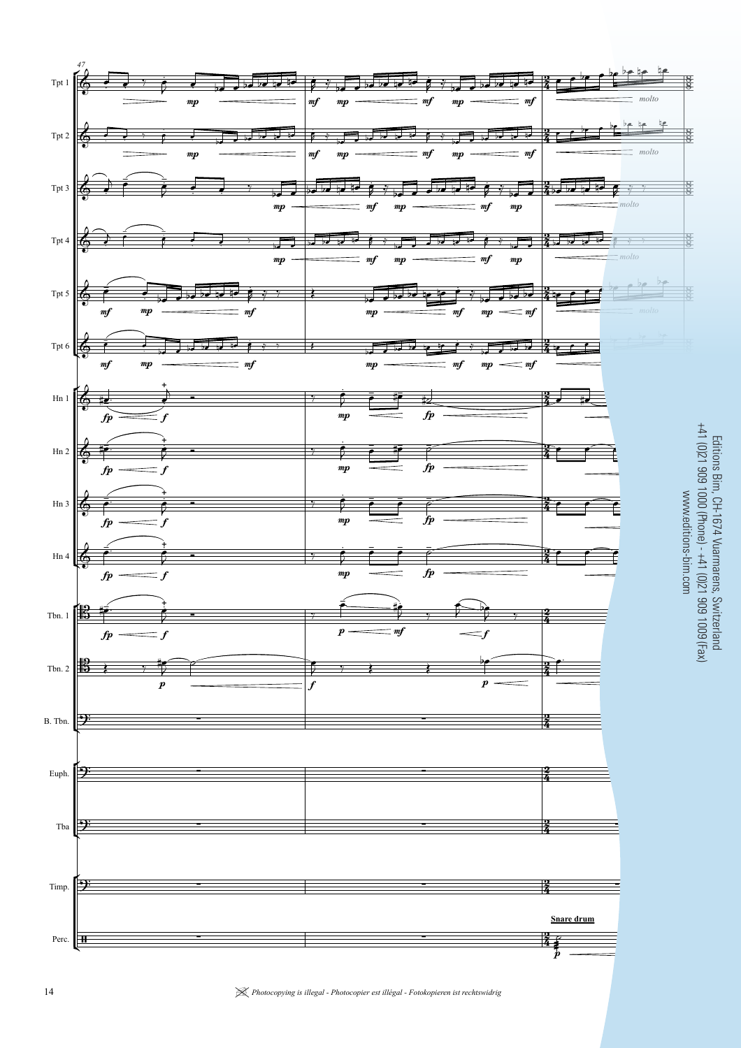

14 *M Photocopying is illegal - Photocopier est illégal - Fotokopieren ist rechtswidrig*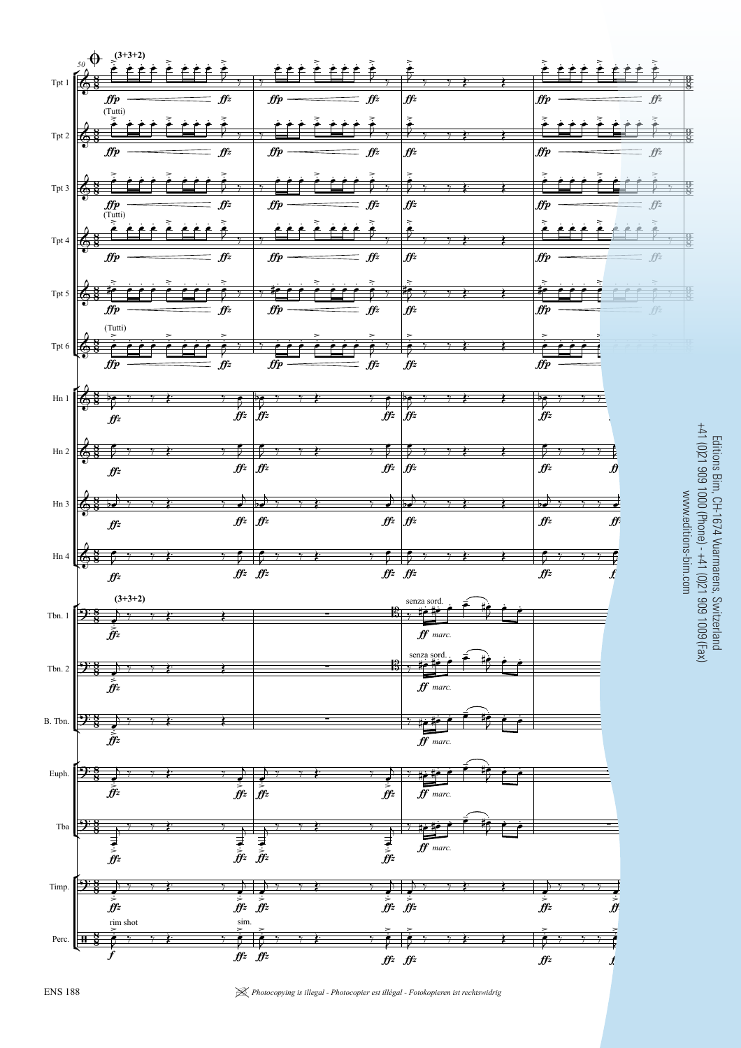

Editions Bim, CH-1674 Vuarmarens, Switzerland<br>+41 (0)21 909 1000 (Phone) - +41 (0)21 909 1009 (Fax) +41 (0)21 909 1000 (Phone) - +41 (0)21 909 1009 (Fax) Editions Bim, CH-1674 Vuarmarens, Switzerland

ENS 188 | *Photocopying is illegal - Photocopier est illégal - Fotokopieren ist rechtswidrig* 15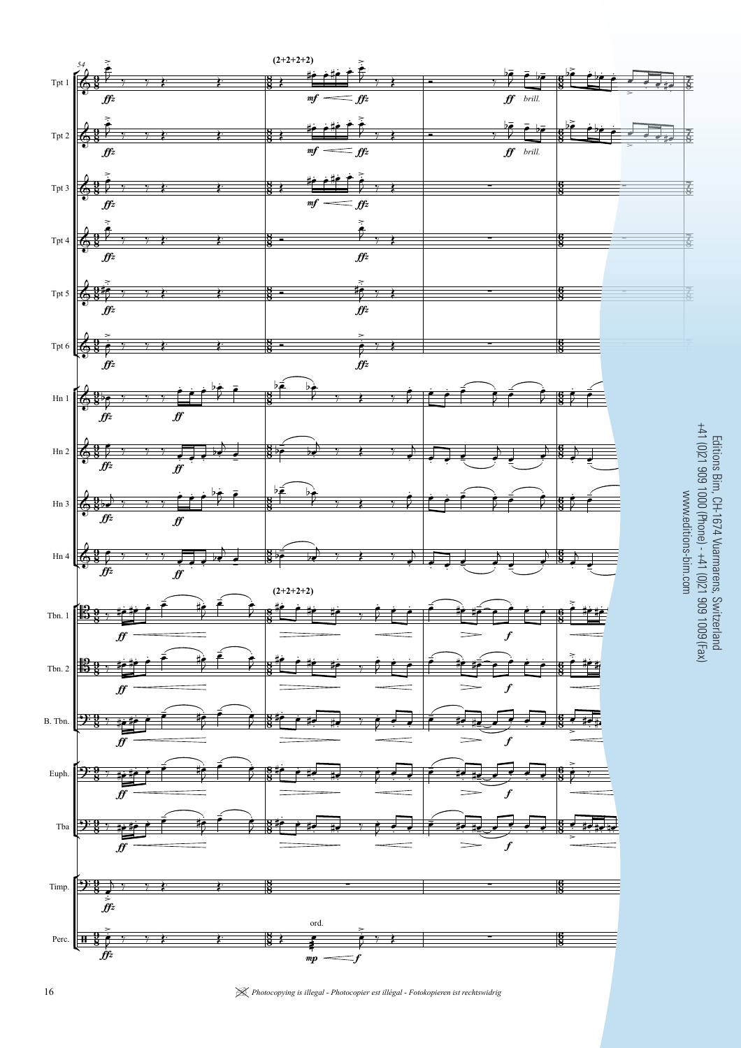

16 *X Photocopying is illegal - Photocopier est illégal - Fotokopieren ist rechtswidrig*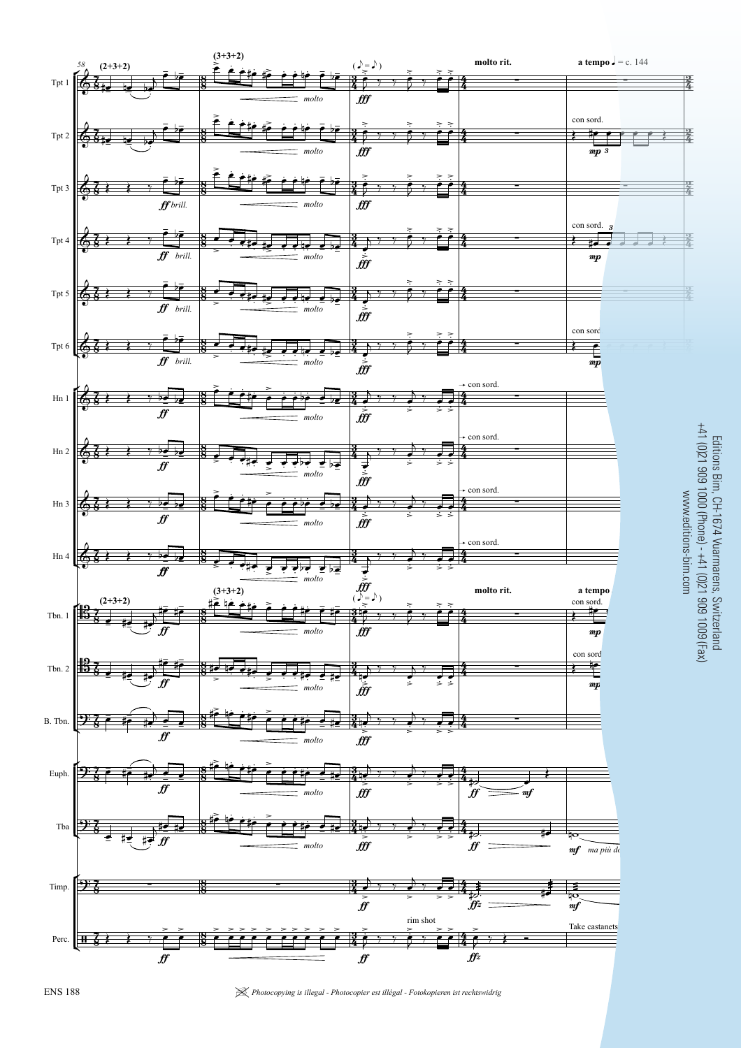

ENS 188 | *Photocopying is illegal - Photocopier est illégal - Fotokopieren ist rechtswidrig* 17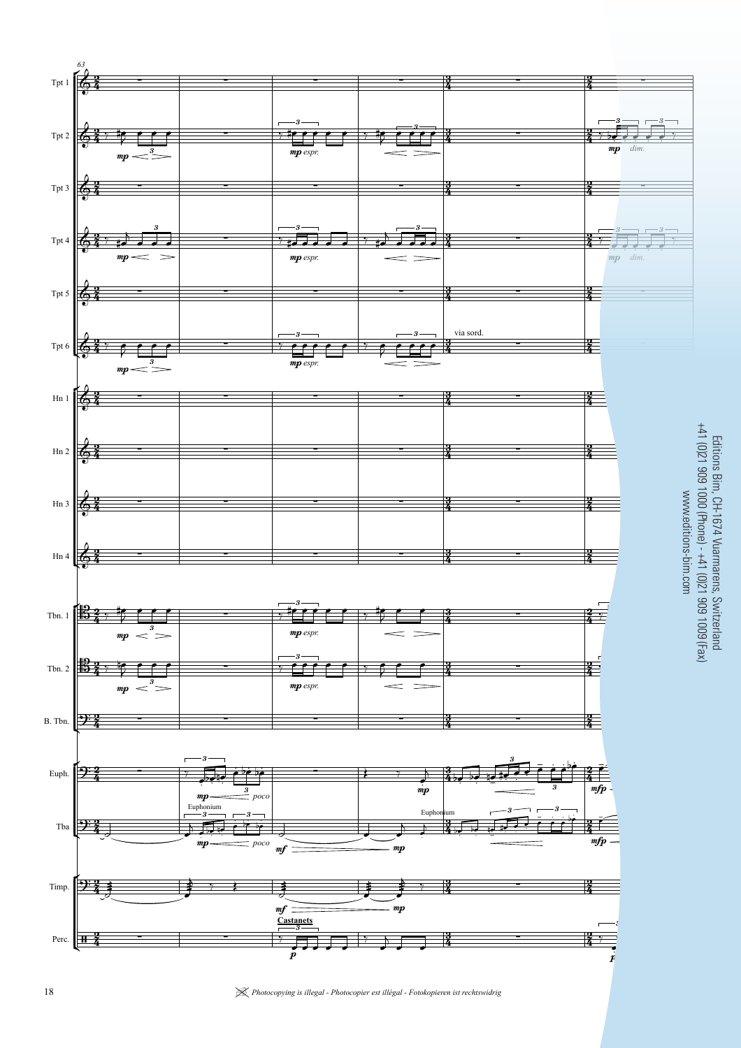

18 *X Photocopying is illegal - Photocopier est illégal - Fotokopieren ist rechtswidrig* 

Editions Bim, CH-1674 Vuarmarens, Switzerland<br>+41 (0)21 909 1000 (Phone) - +41 (0)21 909 1009 (Fax) +41 (0)21 909 1000 (Phone) - +41 (0)21 909 1009 (Fax) Editions Bim, CH-1674 Vuarmarens, Switzerland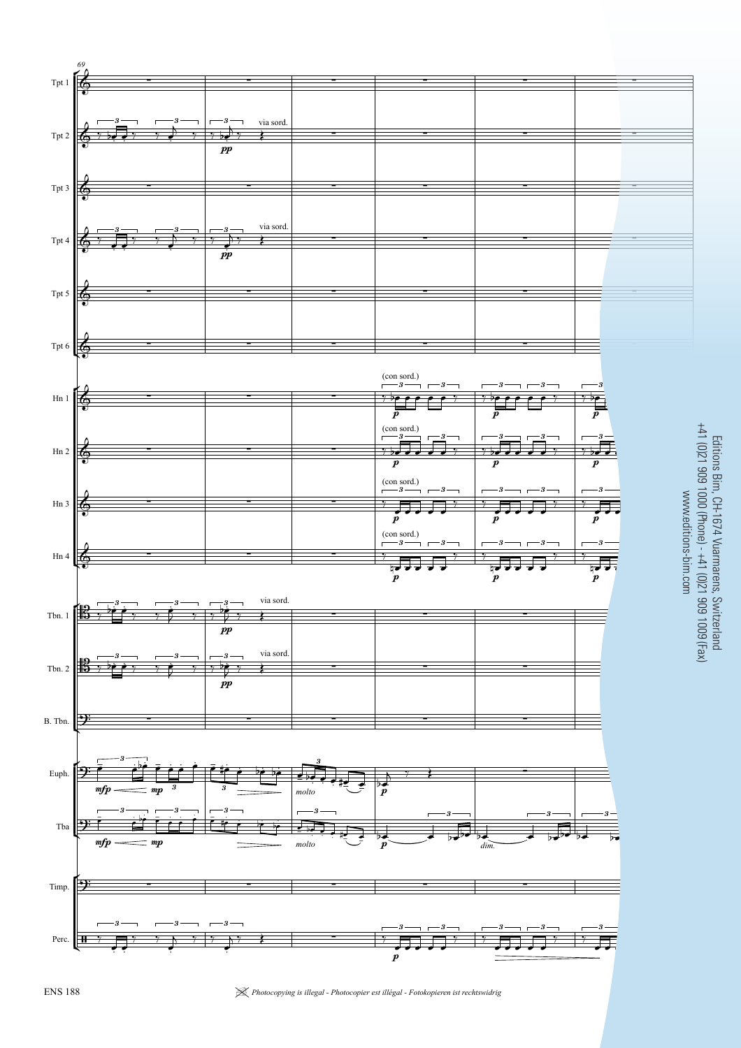

ENS 188 | *Photocopying is illegal - Photocopier est illégal - Fotokopieren ist rechtswidrig* 19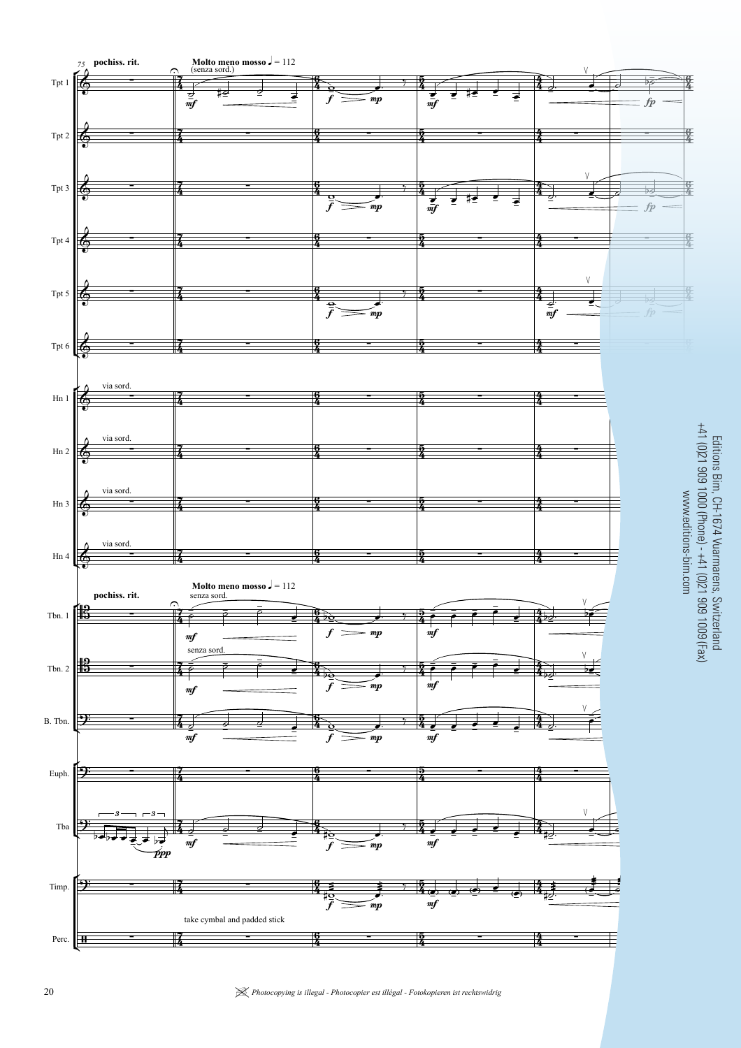